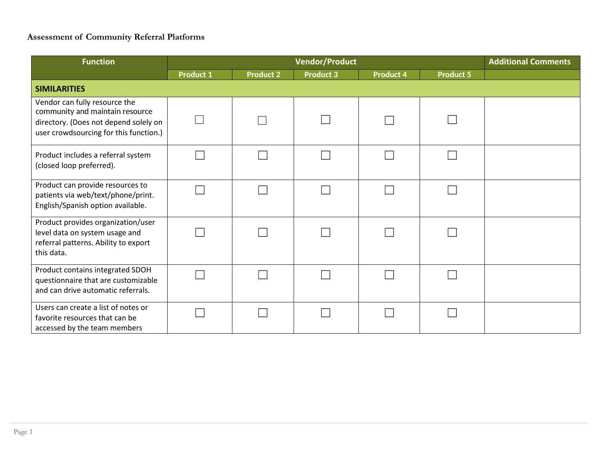## **Assessment of Community Referral Platforms**

| <b>Function</b>                                                                                                                                     |                  | <b>Additional Comments</b> |                  |                  |                  |  |
|-----------------------------------------------------------------------------------------------------------------------------------------------------|------------------|----------------------------|------------------|------------------|------------------|--|
|                                                                                                                                                     | <b>Product 1</b> | <b>Product 2</b>           | <b>Product 3</b> | <b>Product 4</b> | <b>Product 5</b> |  |
| <b>SIMILARITIES</b>                                                                                                                                 |                  |                            |                  |                  |                  |  |
| Vendor can fully resource the<br>community and maintain resource<br>directory. (Does not depend solely on<br>user crowdsourcing for this function.) |                  |                            |                  |                  |                  |  |
| Product includes a referral system<br>(closed loop preferred).                                                                                      |                  |                            |                  |                  |                  |  |
| Product can provide resources to<br>patients via web/text/phone/print.<br>English/Spanish option available.                                         |                  |                            |                  |                  |                  |  |
| Product provides organization/user<br>level data on system usage and<br>referral patterns. Ability to export<br>this data.                          |                  |                            |                  |                  |                  |  |
| Product contains integrated SDOH<br>questionnaire that are customizable<br>and can drive automatic referrals.                                       |                  |                            |                  |                  |                  |  |
| Users can create a list of notes or<br>favorite resources that can be<br>accessed by the team members                                               |                  |                            |                  |                  |                  |  |